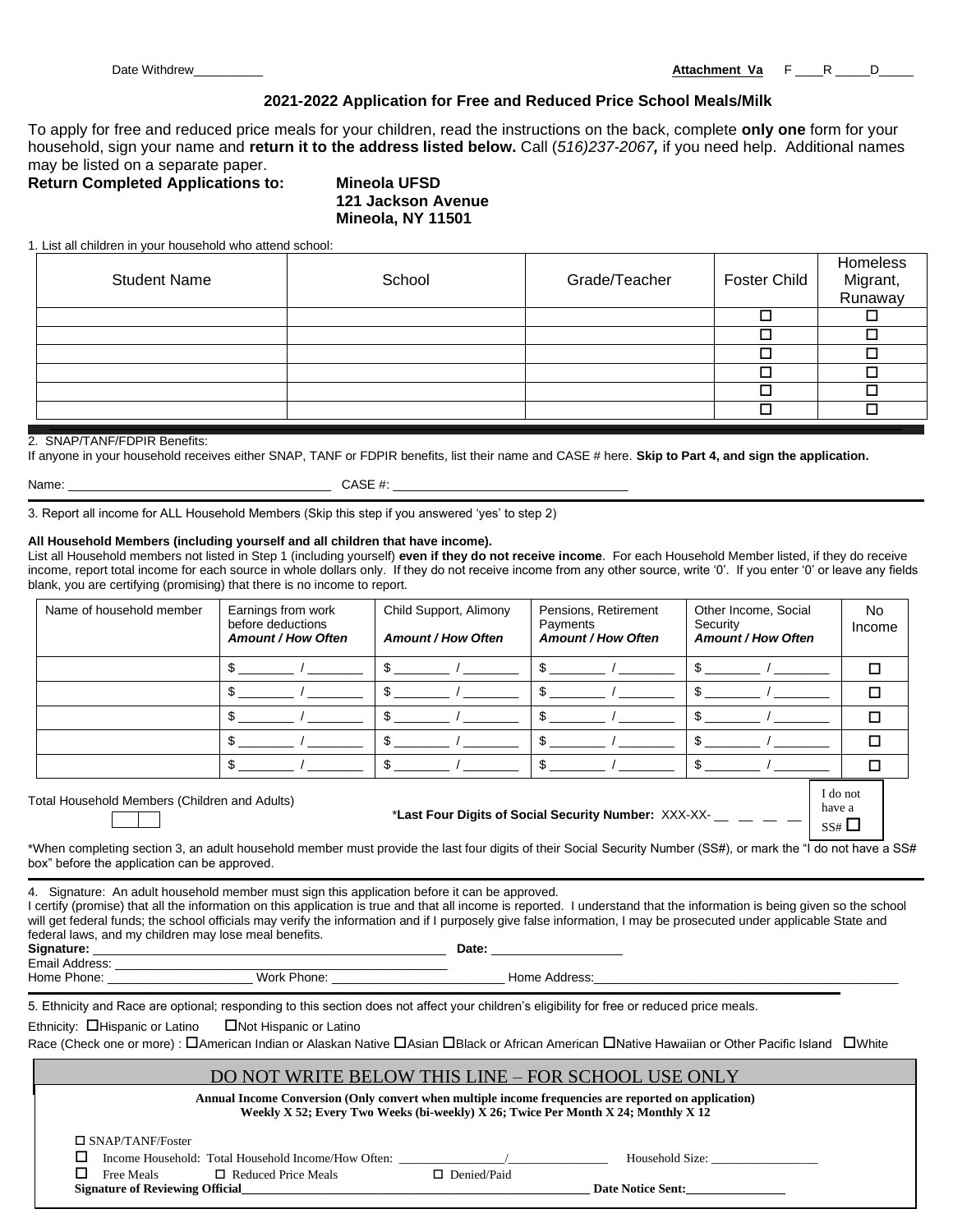# **2021-2022 Application for Free and Reduced Price School Meals/Milk**

To apply for free and reduced price meals for your children, read the instructions on the back, complete **only one** form for your household, sign your name and **return it to the address listed below.** Call (*516)237-2067,* if you need help. Additional names may be listed on a separate paper.

**Return Completed Applications to: Mineola UFSD**

**121 Jackson Avenue Mineola, NY 11501**

1. List all children in your household who attend school:

| <b>Student Name</b> | School | Grade/Teacher | Foster Child | Homeless<br>Migrant,<br>Runaway |
|---------------------|--------|---------------|--------------|---------------------------------|
|                     |        |               |              |                                 |
|                     |        |               |              |                                 |
|                     |        |               |              |                                 |
|                     |        |               |              |                                 |
|                     |        |               |              |                                 |
|                     |        |               |              |                                 |

#### 2. SNAP/TANF/FDPIR Benefits:

If anyone in your household receives either SNAP, TANF or FDPIR benefits, list their name and CASE # here. **Skip to Part 4, and sign the application.**

Name: \_\_\_\_\_\_\_\_\_\_\_\_\_\_\_\_\_\_\_\_\_\_\_\_\_\_\_\_\_\_\_\_\_\_\_\_\_\_ CASE #: \_\_\_\_\_\_\_\_\_\_\_\_\_\_\_\_\_\_\_\_\_\_\_\_\_\_\_\_\_\_\_\_\_\_

3. Report all income for ALL Household Members (Skip this step if you answered 'yes' to step 2)

#### **All Household Members (including yourself and all children that have income).**

List all Household members not listed in Step 1 (including yourself) **even if they do not receive income**. For each Household Member listed, if they do receive income, report total income for each source in whole dollars only. If they do not receive income from any other source, write '0'. If you enter '0' or leave any fields blank, you are certifying (promising) that there is no income to report.

| Name of household member | Earnings from work<br>before deductions<br><b>Amount / How Often</b> | Child Support, Alimony<br><b>Amount / How Often</b> | Pensions, Retirement<br>Payments<br><b>Amount / How Often</b> | Other Income, Social<br>Security<br><b>Amount / How Often</b> | No<br>Income |
|--------------------------|----------------------------------------------------------------------|-----------------------------------------------------|---------------------------------------------------------------|---------------------------------------------------------------|--------------|
|                          |                                                                      |                                                     |                                                               |                                                               |              |
|                          |                                                                      |                                                     |                                                               |                                                               |              |
|                          |                                                                      |                                                     |                                                               |                                                               |              |
|                          |                                                                      |                                                     |                                                               |                                                               |              |
|                          |                                                                      |                                                     |                                                               |                                                               |              |

Total Household Members (Children and Adults)

\***Last Four Digits of Social Security Number:** XXX-XX- \_\_ \_\_ \_\_ \_\_

| I do not |  |
|----------|--|
| have a   |  |
| SS#1     |  |

\*When completing section 3, an adult household member must provide the last four digits of their Social Security Number (SS#), or mark the "I do not have a SS# box" before the application can be approved.

|                                                                                 | 4. Signature: An adult household member must sign this application before it can be approved.<br>federal laws, and my children may lose meal benefits.                                                                                          | Date: the contract of the contract of the contract of the contract of the contract of the contract of the contract of the contract of the contract of the contract of the contract of the contract of the contract of the cont | I certify (promise) that all the information on this application is true and that all income is reported. I understand that the information is being given so the school<br>will get federal funds; the school officials may verify the information and if I purposely give false information, I may be prosecuted under applicable State and<br>Home Address: North American State of Texas and State of Texas and State of Texas and State of Texas and State of Texas and State of Texas and State of Texas and State of Texas and State of Texas and State of Texas and Sta |  |
|---------------------------------------------------------------------------------|-------------------------------------------------------------------------------------------------------------------------------------------------------------------------------------------------------------------------------------------------|--------------------------------------------------------------------------------------------------------------------------------------------------------------------------------------------------------------------------------|---------------------------------------------------------------------------------------------------------------------------------------------------------------------------------------------------------------------------------------------------------------------------------------------------------------------------------------------------------------------------------------------------------------------------------------------------------------------------------------------------------------------------------------------------------------------------------|--|
|                                                                                 | 5. Ethnicity and Race are optional; responding to this section does not affect your children's eligibility for free or reduced price meals.<br>Ethnicity: $\Box$ Hispanic or Latino $\Box$ Not Hispanic or Latino                               |                                                                                                                                                                                                                                | Race (Check one or more) : <b>D</b> American Indian or Alaskan Native DAsian DBlack or African American DNative Hawaiian or Other Pacific Island DWhite                                                                                                                                                                                                                                                                                                                                                                                                                         |  |
|                                                                                 | DO NOT WRITE BELOW THIS LINE – FOR SCHOOL USE ONLY<br>Annual Income Conversion (Only convert when multiple income frequencies are reported on application)<br>Weekly X 52; Every Two Weeks (bi-weekly) X 26; Twice Per Month X 24; Monthly X 12 |                                                                                                                                                                                                                                |                                                                                                                                                                                                                                                                                                                                                                                                                                                                                                                                                                                 |  |
| $\Box$ SNAP/TANF/Foster<br>Free Meals<br><b>Signature of Reviewing Official</b> | $\Box$ Reduced Price Meals                                                                                                                                                                                                                      | $\Box$ Denied/Paid                                                                                                                                                                                                             | Household Size:<br><b>Date Notice Sent:</b>                                                                                                                                                                                                                                                                                                                                                                                                                                                                                                                                     |  |